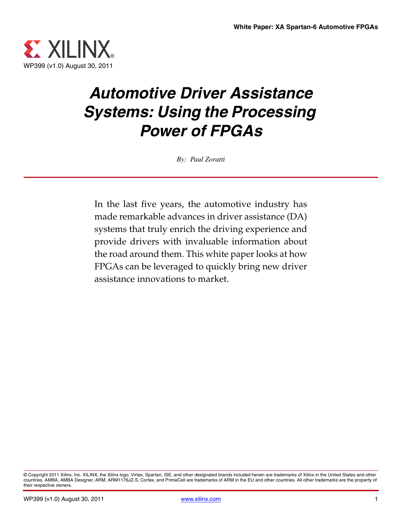

# *Automotive Driver Assistance Systems: Using the Processing Power of FPGAs*

*By: Paul Zoratti*

In the last five years, the automotive industry has made remarkable advances in driver assistance (DA) systems that truly enrich the driving experience and provide drivers with invaluable information about the road around them. This white paper looks at how FPGAs can be leveraged to quickly bring new driver assistance innovations to market.

<sup>©</sup> Copyright 2011 Xilinx, Inc. XILINX, the Xilinx logo, Virtex, Spartan, ISE, and other designated brands included herein are trademarks of Xilinx in the United States and other countries. AMBA, AMBA Designer, ARM, ARM1176JZ-S, Cortex, and PrimeCell are trademarks of ARM in the EU and other countries. All other trademarks are the property of their respective owners.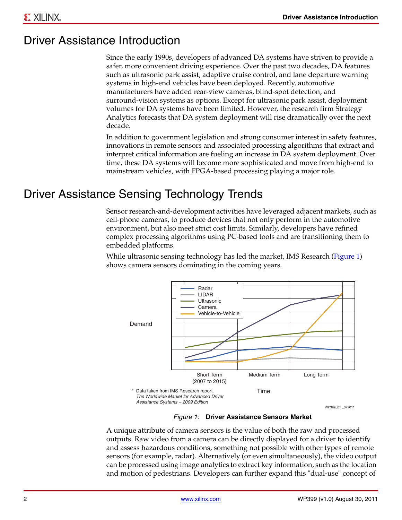#### Driver Assistance Introduction

Since the early 1990s, developers of advanced DA systems have striven to provide a safer, more convenient driving experience. Over the past two decades, DA features such as ultrasonic park assist, adaptive cruise control, and lane departure warning systems in high-end vehicles have been deployed. Recently, automotive manufacturers have added rear-view cameras, blind-spot detection, and surround-vision systems as options. Except for ultrasonic park assist, deployment volumes for DA systems have been limited. However, the research firm Strategy Analytics forecasts that DA system deployment will rise dramatically over the next decade.

In addition to government legislation and strong consumer interest in safety features, innovations in remote sensors and associated processing algorithms that extract and interpret critical information are fueling an increase in DA system deployment. Over time, these DA systems will become more sophisticated and move from high-end to mainstream vehicles, with FPGA-based processing playing a major role.

#### Driver Assistance Sensing Technology Trends

Sensor research-and-development activities have leveraged adjacent markets, such as cell-phone cameras, to produce devices that not only perform in the automotive environment, but also meet strict cost limits. Similarly, developers have refined complex processing algorithms using PC-based tools and are transitioning them to embedded platforms.

While ultrasonic sensing technology has led the market, IMS Research ([Figure 1](#page-1-0)) shows camera sensors dominating in the coming years.

<span id="page-1-0"></span>

*Figure 1:* **Driver Assistance Sensors Market**

A unique attribute of camera sensors is the value of both the raw and processed outputs. Raw video from a camera can be directly displayed for a driver to identify and assess hazardous conditions, something not possible with other types of remote sensors (for example, radar). Alternatively (or even simultaneously), the video output can be processed using image analytics to extract key information, such as the location and motion of pedestrians. Developers can further expand this "dual-use" concept of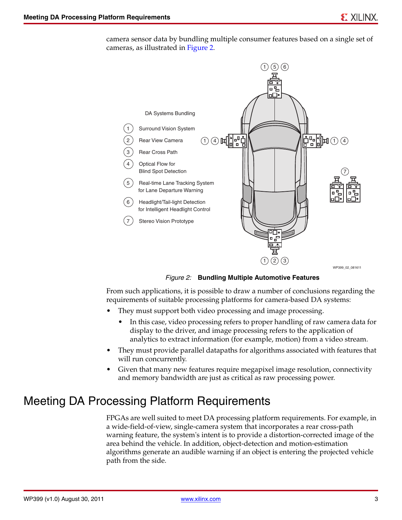camera sensor data by bundling multiple consumer features based on a single set of cameras, as illustrated in [Figure 2.](#page-2-0)

<span id="page-2-0"></span>

*Figure 2:* **Bundling Multiple Automotive Features** 

From such applications, it is possible to draw a number of conclusions regarding the requirements of suitable processing platforms for camera-based DA systems:

- They must support both video processing and image processing.
	- In this case, video processing refers to proper handling of raw camera data for display to the driver, and image processing refers to the application of analytics to extract information (for example, motion) from a video stream.
- They must provide parallel datapaths for algorithms associated with features that will run concurrently.
- Given that many new features require megapixel image resolution, connectivity and memory bandwidth are just as critical as raw processing power.

#### Meeting DA Processing Platform Requirements

FPGAs are well suited to meet DA processing platform requirements. For example, in a wide-field-of-view, single-camera system that incorporates a rear cross-path warning feature, the system's intent is to provide a distortion-corrected image of the area behind the vehicle. In addition, object-detection and motion-estimation algorithms generate an audible warning if an object is entering the projected vehicle path from the side.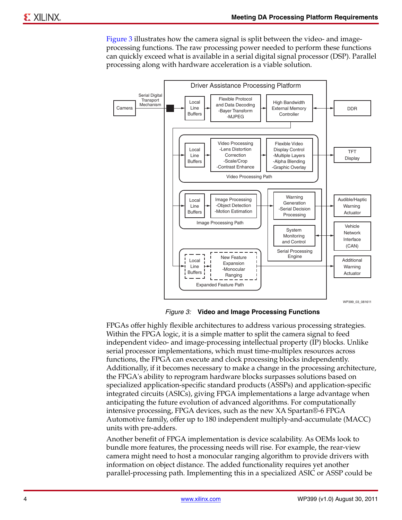[Figure 3](#page-3-0) illustrates how the camera signal is split between the video- and imageprocessing functions. The raw processing power needed to perform these functions can quickly exceed what is available in a serial digital signal processor (DSP). Parallel processing along with hardware acceleration is a viable solution.

<span id="page-3-0"></span>

*Figure 3:* **Video and Image Processing Functions**

FPGAs offer highly flexible architectures to address various processing strategies. Within the FPGA logic, it is a simple matter to split the camera signal to feed independent video- and image-processing intellectual property (IP) blocks. Unlike serial processor implementations, which must time-multiplex resources across functions, the FPGA can execute and clock processing blocks independently. Additionally, if it becomes necessary to make a change in the processing architecture, the FPGA's ability to reprogram hardware blocks surpasses solutions based on specialized application-specific standard products (ASSPs) and application-specific integrated circuits (ASICs), giving FPGA implementations a large advantage when anticipating the future evolution of advanced algorithms. For computationally intensive processing, FPGA devices, such as the new XA Spartan®-6 FPGA Automotive family, offer up to 180 independent multiply-and-accumulate (MACC) units with pre-adders.

Another benefit of FPGA implementation is device scalability. As OEMs look to bundle more features, the processing needs will rise. For example, the rear-view camera might need to host a monocular ranging algorithm to provide drivers with information on object distance. The added functionality requires yet another parallel-processing path. Implementing this in a specialized ASIC or ASSP could be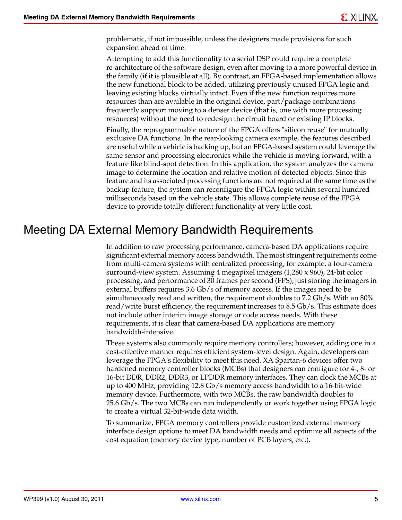problematic, if not impossible, unless the designers made provisions for such expansion ahead of time.

Attempting to add this functionality to a serial DSP could require a complete re-architecture of the software design, even after moving to a more powerful device in the family (if it is plausible at all). By contrast, an FPGA-based implementation allows the new functional block to be added, utilizing previously unused FPGA logic and leaving existing blocks virtually intact. Even if the new function requires more resources than are available in the original device, part/package combinations frequently support moving to a denser device (that is, one with more processing resources) without the need to redesign the circuit board or existing IP blocks.

Finally, the reprogrammable nature of the FPGA offers "silicon reuse" for mutually exclusive DA functions. In the rear-looking camera example, the features described are useful while a vehicle is backing up, but an FPGA-based system could leverage the same sensor and processing electronics while the vehicle is moving forward, with a feature like blind-spot detection. In this application, the system analyzes the camera image to determine the location and relative motion of detected objects. Since this feature and its associated processing functions are not required at the same time as the backup feature, the system can reconfigure the FPGA logic within several hundred milliseconds based on the vehicle state. This allows complete reuse of the FPGA device to provide totally different functionality at very little cost.

#### Meeting DA External Memory Bandwidth Requirements

In addition to raw processing performance, camera-based DA applications require significant external memory access bandwidth. The most stringent requirements come from multi-camera systems with centralized processing, for example, a four-camera surround-view system. Assuming 4 megapixel imagers (1,280 x 960), 24-bit color processing, and performance of 30 frames per second (FPS), just storing the imagers in external buffers requires 3.6 Gb/s of memory access. If the images need to be simultaneously read and written, the requirement doubles to 7.2 Gb/s. With an 80% read/write burst efficiency, the requirement increases to 8.5 Gb/s. This estimate does not include other interim image storage or code access needs. With these requirements, it is clear that camera-based DA applications are memory bandwidth-intensive.

These systems also commonly require memory controllers; however, adding one in a cost-effective manner requires efficient system-level design. Again, developers can leverage the FPGA's flexibility to meet this need. XA Spartan-6 devices offer two hardened memory controller blocks (MCBs) that designers can configure for 4-, 8- or 16-bit DDR, DDR2, DDR3, or LPDDR memory interfaces. They can clock the MCBs at up to 400 MHz, providing 12.8 Gb/s memory access bandwidth to a 16-bit-wide memory device. Furthermore, with two MCBs, the raw bandwidth doubles to 25.6 Gb/s. The two MCBs can run independently or work together using FPGA logic to create a virtual 32-bit-wide data width.

To summarize, FPGA memory controllers provide customized external memory interface design options to meet DA bandwidth needs and optimize all aspects of the cost equation (memory device type, number of PCB layers, etc.).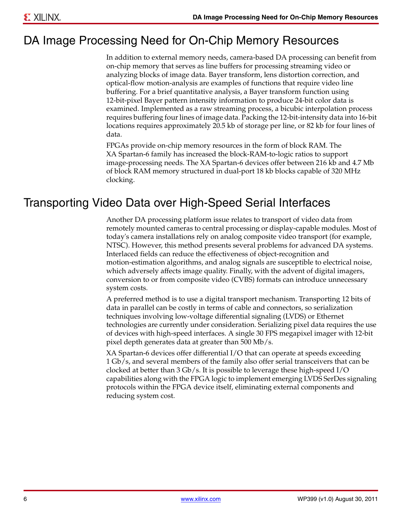## DA Image Processing Need for On-Chip Memory Resources

In addition to external memory needs, camera-based DA processing can benefit from on-chip memory that serves as line buffers for processing streaming video or analyzing blocks of image data. Bayer transform, lens distortion correction, and optical-flow motion-analysis are examples of functions that require video line buffering. For a brief quantitative analysis, a Bayer transform function using 12-bit-pixel Bayer pattern intensity information to produce 24-bit color data is examined. Implemented as a raw streaming process, a bicubic interpolation process requires buffering four lines of image data. Packing the 12-bit-intensity data into 16-bit locations requires approximately 20.5 kb of storage per line, or 82 kb for four lines of data.

FPGAs provide on-chip memory resources in the form of block RAM. The XA Spartan-6 family has increased the block-RAM-to-logic ratios to support image-processing needs. The XA Spartan-6 devices offer between 216 kb and 4.7 Mb of block RAM memory structured in dual-port 18 kb blocks capable of 320 MHz clocking.

#### Transporting Video Data over High-Speed Serial Interfaces

Another DA processing platform issue relates to transport of video data from remotely mounted cameras to central processing or display-capable modules. Most of today's camera installations rely on analog composite video transport (for example, NTSC). However, this method presents several problems for advanced DA systems. Interlaced fields can reduce the effectiveness of object-recognition and motion-estimation algorithms, and analog signals are susceptible to electrical noise, which adversely affects image quality. Finally, with the advent of digital imagers, conversion to or from composite video (CVBS) formats can introduce unnecessary system costs.

A preferred method is to use a digital transport mechanism. Transporting 12 bits of data in parallel can be costly in terms of cable and connectors, so serialization techniques involving low-voltage differential signaling (LVDS) or Ethernet technologies are currently under consideration. Serializing pixel data requires the use of devices with high-speed interfaces. A single 30 FPS megapixel imager with 12-bit pixel depth generates data at greater than 500 Mb/s.

XA Spartan-6 devices offer differential I/O that can operate at speeds exceeding 1 Gb/s, and several members of the family also offer serial transceivers that can be clocked at better than 3 Gb/s. It is possible to leverage these high-speed I/O capabilities along with the FPGA logic to implement emerging LVDS SerDes signaling protocols within the FPGA device itself, eliminating external components and reducing system cost.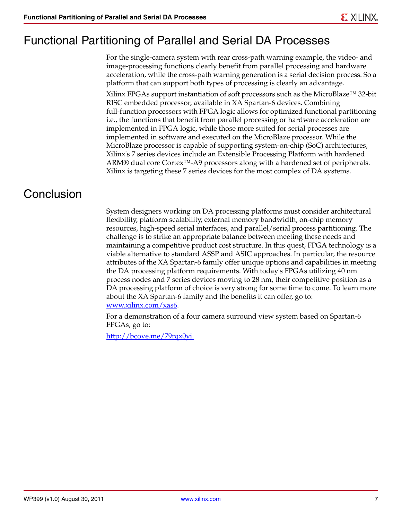## Functional Partitioning of Parallel and Serial DA Processes

For the single-camera system with rear cross-path warning example, the video- and image-processing functions clearly benefit from parallel processing and hardware acceleration, while the cross-path warning generation is a serial decision process. So a platform that can support both types of processing is clearly an advantage.

Xilinx FPGAs support instantiation of soft processors such as the MicroBlaze™ 32-bit RISC embedded processor, available in XA Spartan-6 devices. Combining full-function processors with FPGA logic allows for optimized functional partitioning i.e., the functions that benefit from parallel processing or hardware acceleration are implemented in FPGA logic, while those more suited for serial processes are implemented in software and executed on the MicroBlaze processor. While the MicroBlaze processor is capable of supporting system-on-chip (SoC) architectures, Xilinx's 7 series devices include an Extensible Processing Platform with hardened ARM® dual core Cortex™-A9 processors along with a hardened set of peripherals. Xilinx is targeting these 7 series devices for the most complex of DA systems.

## **Conclusion**

System designers working on DA processing platforms must consider architectural flexibility, platform scalability, external memory bandwidth, on-chip memory resources, high-speed serial interfaces, and parallel/serial process partitioning. The challenge is to strike an appropriate balance between meeting these needs and maintaining a competitive product cost structure. In this quest, FPGA technology is a viable alternative to standard ASSP and ASIC approaches. In particular, the resource attributes of the XA Spartan-6 family offer unique options and capabilities in meeting the DA processing platform requirements. With today's FPGAs utilizing 40 nm process nodes and 7 series devices moving to 28 nm, their competitive position as a DA processing platform of choice is very strong for some time to come. To learn more about the XA Spartan-6 family and the benefits it can offer, go to: [www.xilinx.com/xas6.](www.xilinx.com/xas6)

For a demonstration of a four camera surround view system based on Spartan-6 FPGAs, go to:

[http://bcove.me/79rqx0yi.](http://bcove.me/79rqx0yi)